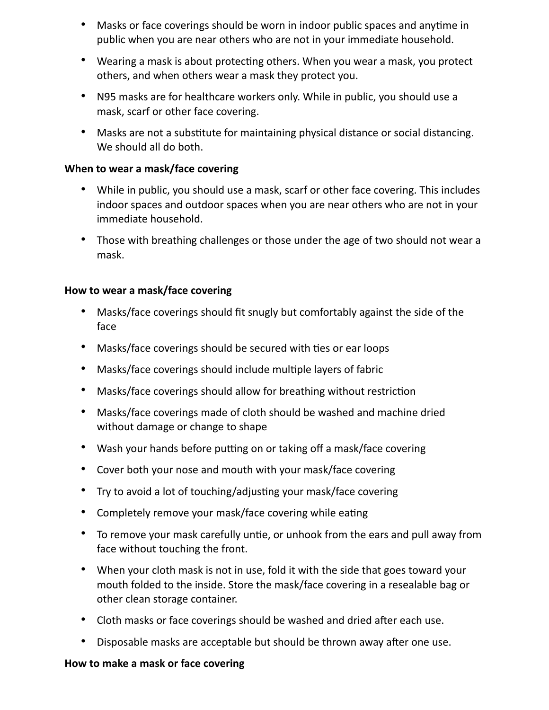- Masks or face coverings should be worn in indoor public spaces and anytime in public when you are near others who are not in your immediate household.
- Wearing a mask is about protecting others. When you wear a mask, you protect others, and when others wear a mask they protect you.
- N95 masks are for healthcare workers only. While in public, you should use a mask, scarf or other face covering.
- Masks are not a substitute for maintaining physical distance or social distancing. We should all do both.

## **When to wear a mask/face covering**

- While in public, you should use a mask, scarf or other face covering. This includes indoor spaces and outdoor spaces when you are near others who are not in your immediate household.
- Those with breathing challenges or those under the age of two should not wear a mask.

## **How to wear a mask/face covering**

- Masks/face coverings should fit snugly but comfortably against the side of the face
- Masks/face coverings should be secured with ties or ear loops
- Masks/face coverings should include multiple layers of fabric
- Masks/face coverings should allow for breathing without restriction
- Masks/face coverings made of cloth should be washed and machine dried without damage or change to shape
- Wash your hands before putting on or taking off a mask/face covering
- Cover both your nose and mouth with your mask/face covering
- Try to avoid a lot of touching/adjusting your mask/face covering
- Completely remove your mask/face covering while eating
- To remove your mask carefully untie, or unhook from the ears and pull away from face without touching the front.
- When your cloth mask is not in use, fold it with the side that goes toward your mouth folded to the inside. Store the mask/face covering in a resealable bag or other clean storage container.
- Cloth masks or face coverings should be washed and dried after each use.
- Disposable masks are acceptable but should be thrown away after one use.

## **How to make a mask or face covering**